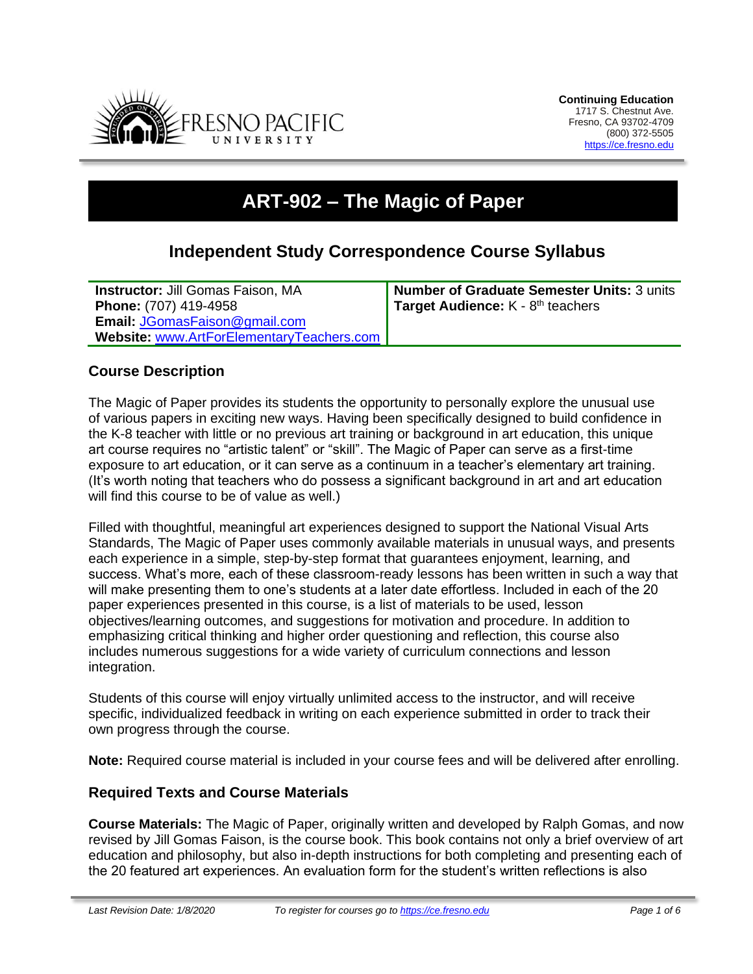

# **ART-902 – The Magic of Paper**

# **Independent Study Correspondence Course Syllabus**

**Instructor:** Jill Gomas Faison, MA **Phone:** (707) 419-4958 **Email:** [JGomasFaison@gmail.com](mailto:JGomasFaison@gmail.com) **Website:** [www.ArtForElementaryTeachers.com](http://www.artforelementaryteachers.com/) **Number of Graduate Semester Units:** 3 units Target Audience: K - 8<sup>th</sup> teachers

# **Course Description**

The Magic of Paper provides its students the opportunity to personally explore the unusual use of various papers in exciting new ways. Having been specifically designed to build confidence in the K-8 teacher with little or no previous art training or background in art education, this unique art course requires no "artistic talent" or "skill". The Magic of Paper can serve as a first-time exposure to art education, or it can serve as a continuum in a teacher's elementary art training. (It's worth noting that teachers who do possess a significant background in art and art education will find this course to be of value as well.)

Filled with thoughtful, meaningful art experiences designed to support the National Visual Arts Standards, The Magic of Paper uses commonly available materials in unusual ways, and presents each experience in a simple, step-by-step format that guarantees enjoyment, learning, and success. What's more, each of these classroom-ready lessons has been written in such a way that will make presenting them to one's students at a later date effortless. Included in each of the 20 paper experiences presented in this course, is a list of materials to be used, lesson objectives/learning outcomes, and suggestions for motivation and procedure. In addition to emphasizing critical thinking and higher order questioning and reflection, this course also includes numerous suggestions for a wide variety of curriculum connections and lesson integration.

Students of this course will enjoy virtually unlimited access to the instructor, and will receive specific, individualized feedback in writing on each experience submitted in order to track their own progress through the course.

**Note:** Required course material is included in your course fees and will be delivered after enrolling.

#### **Required Texts and Course Materials**

**Course Materials:** The Magic of Paper, originally written and developed by Ralph Gomas, and now revised by Jill Gomas Faison, is the course book. This book contains not only a brief overview of art education and philosophy, but also in-depth instructions for both completing and presenting each of the 20 featured art experiences. An evaluation form for the student's written reflections is also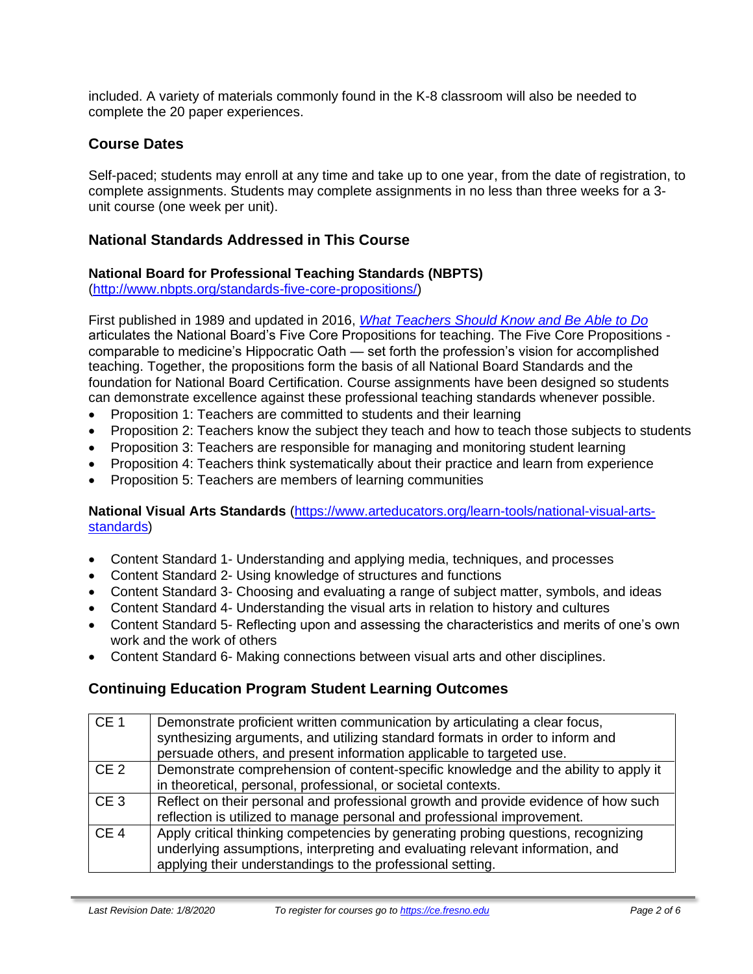included. A variety of materials commonly found in the K-8 classroom will also be needed to complete the 20 paper experiences.

# **Course Dates**

Self-paced; students may enroll at any time and take up to one year, from the date of registration, to complete assignments. Students may complete assignments in no less than three weeks for a 3 unit course (one week per unit).

# **National Standards Addressed in This Course**

#### **National Board for Professional Teaching Standards (NBPTS)**

[\(http://www.nbpts.org/standards-five-core-propositions/\)](http://www.nbpts.org/standards-five-core-propositions/)

First published in 1989 and updated in 2016, *[What Teachers Should Know and Be Able to Do](http://www.accomplishedteacher.org/)* articulates the National Board's Five Core Propositions for teaching. The Five Core Propositions comparable to medicine's Hippocratic Oath — set forth the profession's vision for accomplished teaching. Together, the propositions form the basis of all National Board Standards and the foundation for National Board Certification. Course assignments have been designed so students can demonstrate excellence against these professional teaching standards whenever possible.

- Proposition 1: Teachers are committed to students and their learning
- Proposition 2: Teachers know the subject they teach and how to teach those subjects to students
- Proposition 3: Teachers are responsible for managing and monitoring student learning
- Proposition 4: Teachers think systematically about their practice and learn from experience
- Proposition 5: Teachers are members of learning communities

#### **National Visual Arts Standards** [\(https://www.arteducators.org/learn-tools/national-visual-arts](https://www.arteducators.org/learn-tools/national-visual-arts-standards)[standards\)](https://www.arteducators.org/learn-tools/national-visual-arts-standards)

- Content Standard 1- Understanding and applying media, techniques, and processes
- Content Standard 2- Using knowledge of structures and functions
- Content Standard 3- Choosing and evaluating a range of subject matter, symbols, and ideas
- Content Standard 4- Understanding the visual arts in relation to history and cultures
- Content Standard 5- Reflecting upon and assessing the characteristics and merits of one's own work and the work of others
- Content Standard 6- Making connections between visual arts and other disciplines.

# **Continuing Education Program Student Learning Outcomes**

| CE <sub>1</sub> | Demonstrate proficient written communication by articulating a clear focus,<br>synthesizing arguments, and utilizing standard formats in order to inform and<br>persuade others, and present information applicable to targeted use. |
|-----------------|--------------------------------------------------------------------------------------------------------------------------------------------------------------------------------------------------------------------------------------|
| CE <sub>2</sub> | Demonstrate comprehension of content-specific knowledge and the ability to apply it<br>in theoretical, personal, professional, or societal contexts.                                                                                 |
| CE <sub>3</sub> | Reflect on their personal and professional growth and provide evidence of how such<br>reflection is utilized to manage personal and professional improvement.                                                                        |
| CE <sub>4</sub> | Apply critical thinking competencies by generating probing questions, recognizing<br>underlying assumptions, interpreting and evaluating relevant information, and<br>applying their understandings to the professional setting.     |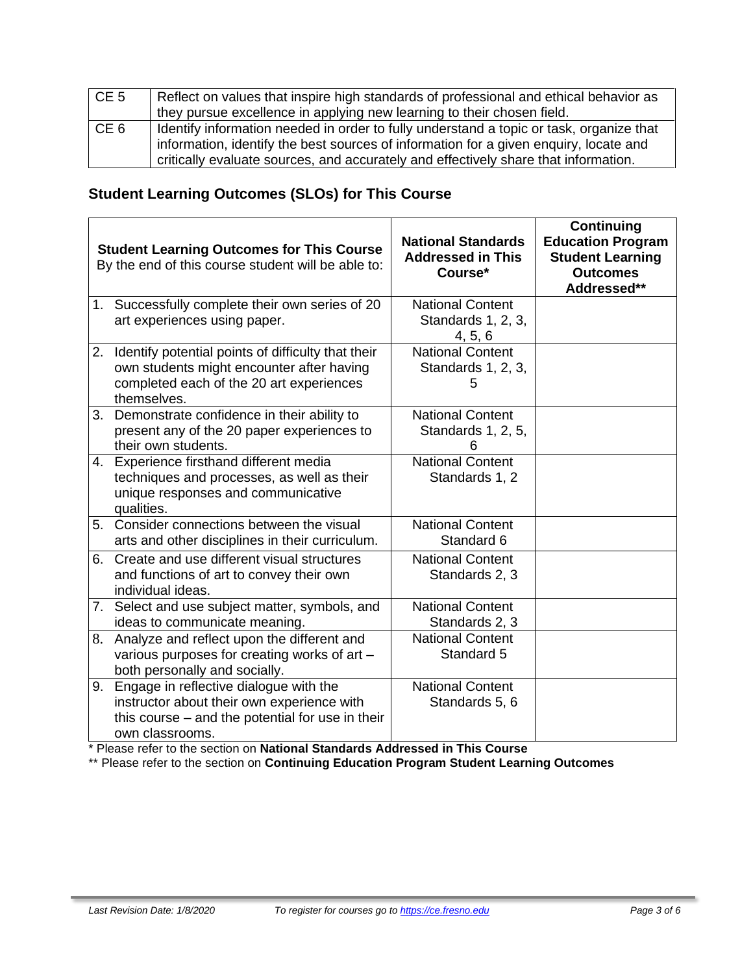| CE <sub>5</sub> | Reflect on values that inspire high standards of professional and ethical behavior as<br>they pursue excellence in applying new learning to their chosen field.                                                                                                         |
|-----------------|-------------------------------------------------------------------------------------------------------------------------------------------------------------------------------------------------------------------------------------------------------------------------|
| CE <sub>6</sub> | Identify information needed in order to fully understand a topic or task, organize that<br>information, identify the best sources of information for a given enquiry, locate and<br>critically evaluate sources, and accurately and effectively share that information. |

# **Student Learning Outcomes (SLOs) for This Course**

|    | <b>Student Learning Outcomes for This Course</b><br>By the end of this course student will be able to:                                                        | <b>National Standards</b><br><b>Addressed in This</b><br>Course* | <b>Continuing</b><br><b>Education Program</b><br><b>Student Learning</b><br><b>Outcomes</b><br>Addressed** |
|----|---------------------------------------------------------------------------------------------------------------------------------------------------------------|------------------------------------------------------------------|------------------------------------------------------------------------------------------------------------|
|    | 1. Successfully complete their own series of 20<br>art experiences using paper.                                                                               | <b>National Content</b><br>Standards 1, 2, 3,<br>4, 5, 6         |                                                                                                            |
|    | 2. Identify potential points of difficulty that their<br>own students might encounter after having<br>completed each of the 20 art experiences<br>themselves. | <b>National Content</b><br>Standards 1, 2, 3,<br>5               |                                                                                                            |
| 3. | Demonstrate confidence in their ability to<br>present any of the 20 paper experiences to<br>their own students.                                               | <b>National Content</b><br>Standards 1, 2, 5,<br>6               |                                                                                                            |
|    | 4. Experience firsthand different media<br>techniques and processes, as well as their<br>unique responses and communicative<br>qualities.                     | <b>National Content</b><br>Standards 1, 2                        |                                                                                                            |
| 5. | Consider connections between the visual<br>arts and other disciplines in their curriculum.                                                                    | <b>National Content</b><br>Standard 6                            |                                                                                                            |
| 6. | Create and use different visual structures<br>and functions of art to convey their own<br>individual ideas.                                                   | <b>National Content</b><br>Standards 2, 3                        |                                                                                                            |
|    | 7. Select and use subject matter, symbols, and<br>ideas to communicate meaning.                                                                               | <b>National Content</b><br>Standards 2, 3                        |                                                                                                            |
| 8. | Analyze and reflect upon the different and<br>various purposes for creating works of art -<br>both personally and socially.                                   | <b>National Content</b><br>Standard 5                            |                                                                                                            |
| 9. | Engage in reflective dialogue with the<br>instructor about their own experience with<br>this course – and the potential for use in their<br>own classrooms.   | <b>National Content</b><br>Standards 5, 6                        |                                                                                                            |

\* Please refer to the section on **National Standards Addressed in This Course**

\*\* Please refer to the section on **Continuing Education Program Student Learning Outcomes**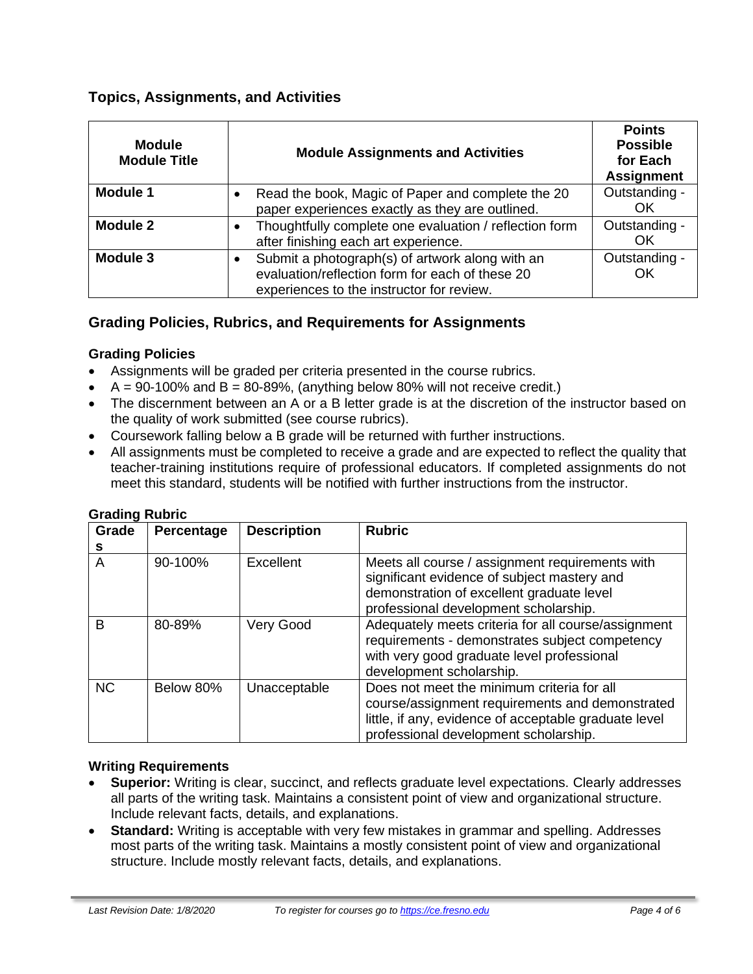# **Topics, Assignments, and Activities**

| <b>Module</b><br><b>Module Title</b> | <b>Module Assignments and Activities</b>                                                                                                                     | <b>Points</b><br><b>Possible</b><br>for Each<br><b>Assignment</b> |
|--------------------------------------|--------------------------------------------------------------------------------------------------------------------------------------------------------------|-------------------------------------------------------------------|
| <b>Module 1</b>                      | Read the book, Magic of Paper and complete the 20<br>paper experiences exactly as they are outlined.                                                         | Outstanding -<br>OK                                               |
| Module 2                             | Thoughtfully complete one evaluation / reflection form<br>after finishing each art experience.                                                               | Outstanding -<br>OK                                               |
| Module 3                             | Submit a photograph(s) of artwork along with an<br>$\bullet$<br>evaluation/reflection form for each of these 20<br>experiences to the instructor for review. | Outstanding -<br>OK                                               |

# **Grading Policies, Rubrics, and Requirements for Assignments**

#### **Grading Policies**

- Assignments will be graded per criteria presented in the course rubrics.
- $\bullet$  A = 90-100% and B = 80-89%, (anything below 80% will not receive credit.)
- The discernment between an A or a B letter grade is at the discretion of the instructor based on the quality of work submitted (see course rubrics).
- Coursework falling below a B grade will be returned with further instructions.
- All assignments must be completed to receive a grade and are expected to reflect the quality that teacher-training institutions require of professional educators. If completed assignments do not meet this standard, students will be notified with further instructions from the instructor.

| Grade<br>s | Percentage | <b>Description</b> | <b>Rubric</b>                                                                                                                                                                                   |
|------------|------------|--------------------|-------------------------------------------------------------------------------------------------------------------------------------------------------------------------------------------------|
| A          | 90-100%    | Excellent          | Meets all course / assignment requirements with<br>significant evidence of subject mastery and<br>demonstration of excellent graduate level<br>professional development scholarship.            |
| B          | 80-89%     | Very Good          | Adequately meets criteria for all course/assignment<br>requirements - demonstrates subject competency<br>with very good graduate level professional<br>development scholarship.                 |
| <b>NC</b>  | Below 80%  | Unacceptable       | Does not meet the minimum criteria for all<br>course/assignment requirements and demonstrated<br>little, if any, evidence of acceptable graduate level<br>professional development scholarship. |

#### **Grading Rubric**

#### **Writing Requirements**

- **Superior:** Writing is clear, succinct, and reflects graduate level expectations. Clearly addresses all parts of the writing task. Maintains a consistent point of view and organizational structure. Include relevant facts, details, and explanations.
- **Standard:** Writing is acceptable with very few mistakes in grammar and spelling. Addresses most parts of the writing task. Maintains a mostly consistent point of view and organizational structure. Include mostly relevant facts, details, and explanations.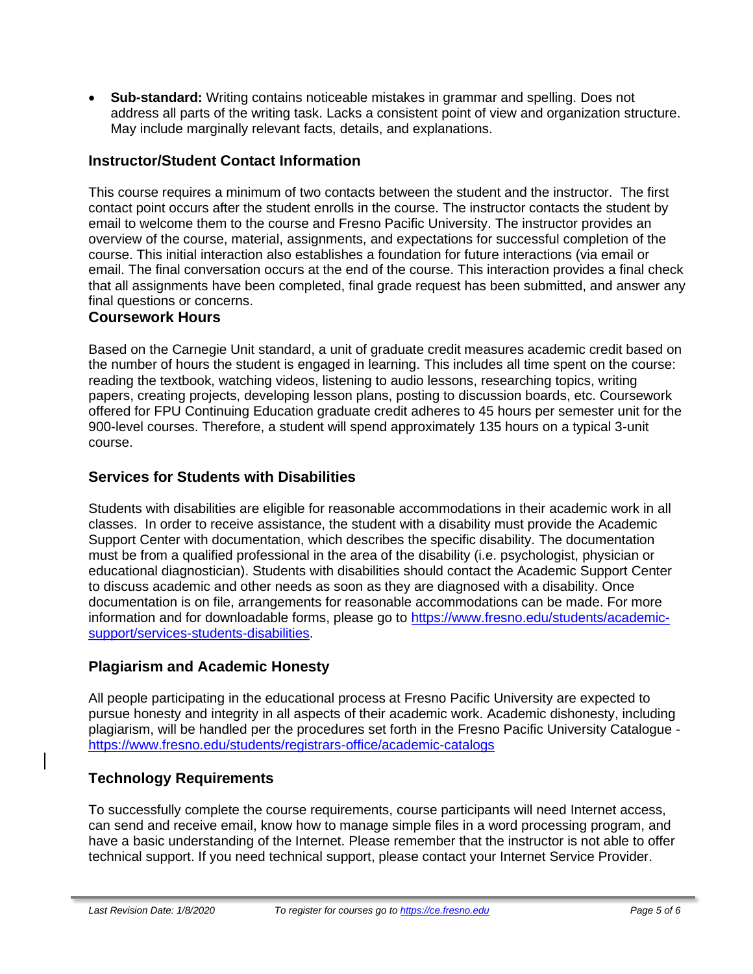• **Sub-standard:** Writing contains noticeable mistakes in grammar and spelling. Does not address all parts of the writing task. Lacks a consistent point of view and organization structure. May include marginally relevant facts, details, and explanations.

# **Instructor/Student Contact Information**

This course requires a minimum of two contacts between the student and the instructor. The first contact point occurs after the student enrolls in the course. The instructor contacts the student by email to welcome them to the course and Fresno Pacific University. The instructor provides an overview of the course, material, assignments, and expectations for successful completion of the course. This initial interaction also establishes a foundation for future interactions (via email or email. The final conversation occurs at the end of the course. This interaction provides a final check that all assignments have been completed, final grade request has been submitted, and answer any final questions or concerns.

#### **Coursework Hours**

Based on the Carnegie Unit standard, a unit of graduate credit measures academic credit based on the number of hours the student is engaged in learning. This includes all time spent on the course: reading the textbook, watching videos, listening to audio lessons, researching topics, writing papers, creating projects, developing lesson plans, posting to discussion boards, etc. Coursework offered for FPU Continuing Education graduate credit adheres to 45 hours per semester unit for the 900-level courses. Therefore, a student will spend approximately 135 hours on a typical 3-unit course.

#### **Services for Students with Disabilities**

Students with disabilities are eligible for reasonable accommodations in their academic work in all classes. In order to receive assistance, the student with a disability must provide the Academic Support Center with documentation, which describes the specific disability. The documentation must be from a qualified professional in the area of the disability (i.e. psychologist, physician or educational diagnostician). Students with disabilities should contact the Academic Support Center to discuss academic and other needs as soon as they are diagnosed with a disability. Once documentation is on file, arrangements for reasonable accommodations can be made. For more information and for downloadable forms, please go to [https://www.fresno.edu/students/academic](https://www.fresno.edu/students/academic-support/services-students-disabilities)[support/services-students-disabilities.](https://www.fresno.edu/students/academic-support/services-students-disabilities)

# **Plagiarism and Academic Honesty**

All people participating in the educational process at Fresno Pacific University are expected to pursue honesty and integrity in all aspects of their academic work. Academic dishonesty, including plagiarism, will be handled per the procedures set forth in the Fresno Pacific University Catalogue <https://www.fresno.edu/students/registrars-office/academic-catalogs>

# **Technology Requirements**

To successfully complete the course requirements, course participants will need Internet access, can send and receive email, know how to manage simple files in a word processing program, and have a basic understanding of the Internet. Please remember that the instructor is not able to offer technical support. If you need technical support, please contact your Internet Service Provider.